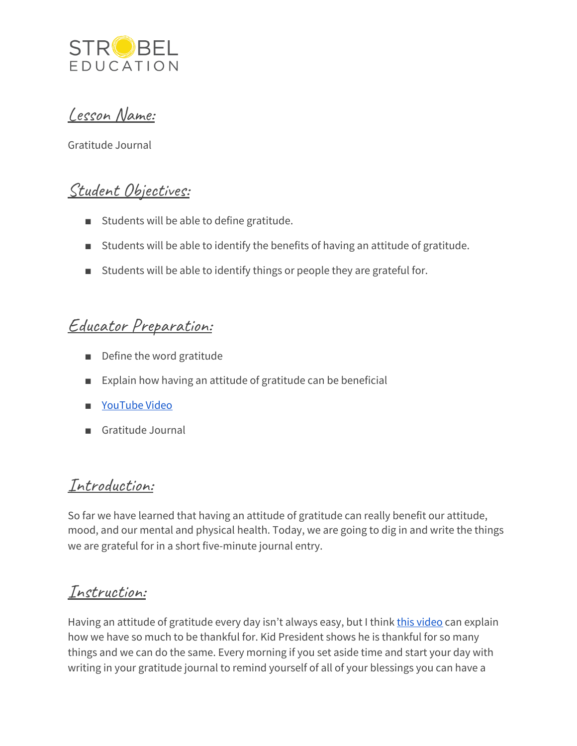

Lesson Name:

Gratitude Journal

### Student Objectives:

- Students will be able to define gratitude.
- Students will be able to identify the benefits of having an attitude of gratitude.
- Students will be able to identify things or people they are grateful for.

#### Educator Preparation:

- Define the word gratitude
- Explain how having an attitude of gratitude can be beneficial
- [YouTube](https://www.youtube.com/watch?v=yA5Qpt1JRE4) Video
- Gratitude Journal

#### Introduction:

So far we have learned that having an attitude of gratitude can really benefit our attitude, mood, and our mental and physical health. Today, we are going to dig in and write the things we are grateful for in a short five-minute journal entry.

### Instruction:

Having an attitude of gratitude every day isn't always easy, but I think this [video](https://www.youtube.com/watch?v=yA5Qpt1JRE4) can explain how we have so much to be thankful for. Kid President shows he is thankful for so many things and we can do the same. Every morning if you set aside time and start your day with writing in your gratitude journal to remind yourself of all of your blessings you can have a